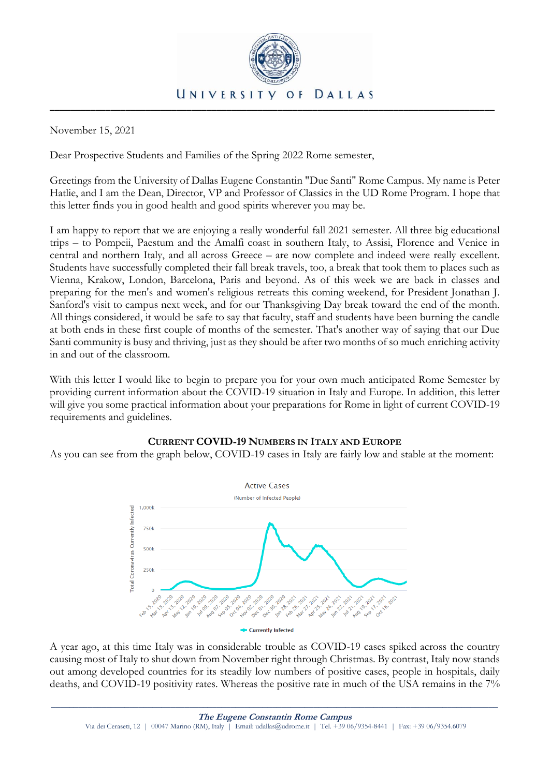

November 15, 2021

Dear Prospective Students and Families of the Spring 2022 Rome semester,

Greetings from the University of Dallas Eugene Constantin "Due Santi" Rome Campus. My name is Peter Hatlie, and I am the Dean, Director, VP and Professor of Classics in the UD Rome Program. I hope that this letter finds you in good health and good spirits wherever you may be.

I am happy to report that we are enjoying a really wonderful fall 2021 semester. All three big educational trips – to Pompeii, Paestum and the Amalfi coast in southern Italy, to Assisi, Florence and Venice in central and northern Italy, and all across Greece – are now complete and indeed were really excellent. Students have successfully completed their fall break travels, too, a break that took them to places such as Vienna, Krakow, London, Barcelona, Paris and beyond. As of this week we are back in classes and preparing for the men's and women's religious retreats this coming weekend, for President Jonathan J. Sanford's visit to campus next week, and for our Thanksgiving Day break toward the end of the month. All things considered, it would be safe to say that faculty, staff and students have been burning the candle at both ends in these first couple of months of the semester. That's another way of saying that our Due Santi community is busy and thriving, just as they should be after two months of so much enriching activity in and out of the classroom.

With this letter I would like to begin to prepare you for your own much anticipated Rome Semester by providing current information about the COVID-19 situation in Italy and Europe. In addition, this letter will give you some practical information about your preparations for Rome in light of current COVID-19 requirements and guidelines.

# **CURRENT COVID-19 NUMBERS IN ITALY AND EUROPE**

As you can see from the graph below, COVID-19 cases in Italy are fairly low and stable at the moment:



A year ago, at this time Italy was in considerable trouble as COVID-19 cases spiked across the country causing most of Italy to shut down from November right through Christmas. By contrast, Italy now stands out among developed countries for its steadily low numbers of positive cases, people in hospitals, daily deaths, and COVID-19 positivity rates. Whereas the positive rate in much of the USA remains in the 7%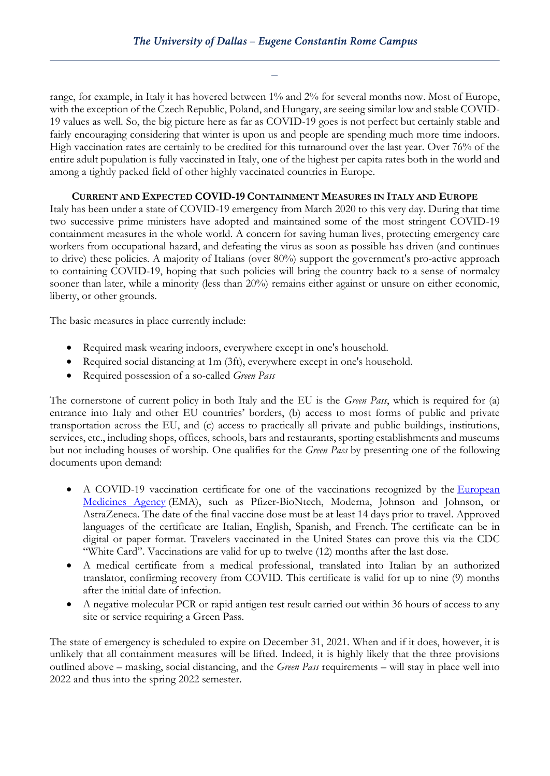range, for example, in Italy it has hovered between 1% and 2% for several months now. Most of Europe, with the exception of the Czech Republic, Poland, and Hungary, are seeing similar low and stable COVID-19 values as well. So, the big picture here as far as COVID-19 goes is not perfect but certainly stable and fairly encouraging considering that winter is upon us and people are spending much more time indoors. High vaccination rates are certainly to be credited for this turnaround over the last year. Over 76% of the entire adult population is fully vaccinated in Italy, one of the highest per capita rates both in the world and among a tightly packed field of other highly vaccinated countries in Europe.

## **CURRENT AND EXPECTED COVID-19 CONTAINMENT MEASURES IN ITALY AND EUROPE**

Italy has been under a state of COVID-19 emergency from March 2020 to this very day. During that time two successive prime ministers have adopted and maintained some of the most stringent COVID-19 containment measures in the whole world. A concern for saving human lives, protecting emergency care workers from occupational hazard, and defeating the virus as soon as possible has driven (and continues to drive) these policies. A majority of Italians (over 80%) support the government's pro-active approach to containing COVID-19, hoping that such policies will bring the country back to a sense of normalcy sooner than later, while a minority (less than 20%) remains either against or unsure on either economic, liberty, or other grounds.

The basic measures in place currently include:

- Required mask wearing indoors, everywhere except in one's household.
- Required social distancing at 1m (3ft), everywhere except in one's household.
- Required possession of a so-called *Green Pass*

The cornerstone of current policy in both Italy and the EU is the *Green Pass*, which is required for (a) entrance into Italy and other EU countries' borders, (b) access to most forms of public and private transportation across the EU, and (c) access to practically all private and public buildings, institutions, services, etc., including shops, offices, schools, bars and restaurants, sporting establishments and museums but not including houses of worship. One qualifies for the *Green Pass* by presenting one of the following documents upon demand:

- A COVID-19 vaccination certificate for one of the vaccinations recognized by the European [Medicines Agency](https://www.ema.europa.eu/en/human-regulatory/overview/public-health-threats/coronavirus-disease-covid-19/treatments-vaccines/vaccines-covid-19/covid-19-vaccines-authorised#authorised-covid-19-vaccines-section) (EMA), such as Pfizer-BioNtech, Moderna, Johnson and Johnson, or AstraZeneca. The date of the final vaccine dose must be at least 14 days prior to travel. Approved languages of the certificate are Italian, English, Spanish, and French. The certificate can be in digital or paper format. Travelers vaccinated in the United States can prove this via the CDC "White Card". Vaccinations are valid for up to twelve (12) months after the last dose.
- A medical certificate from a medical professional, translated into Italian by an authorized translator, confirming recovery from COVID. This certificate is valid for up to nine (9) months after the initial date of infection.
- A negative molecular PCR or rapid antigen test result carried out within 36 hours of access to any site or service requiring a Green Pass.

The state of emergency is scheduled to expire on December 31, 2021. When and if it does, however, it is unlikely that all containment measures will be lifted. Indeed, it is highly likely that the three provisions outlined above – masking, social distancing, and the *Green Pass* requirements – will stay in place well into 2022 and thus into the spring 2022 semester.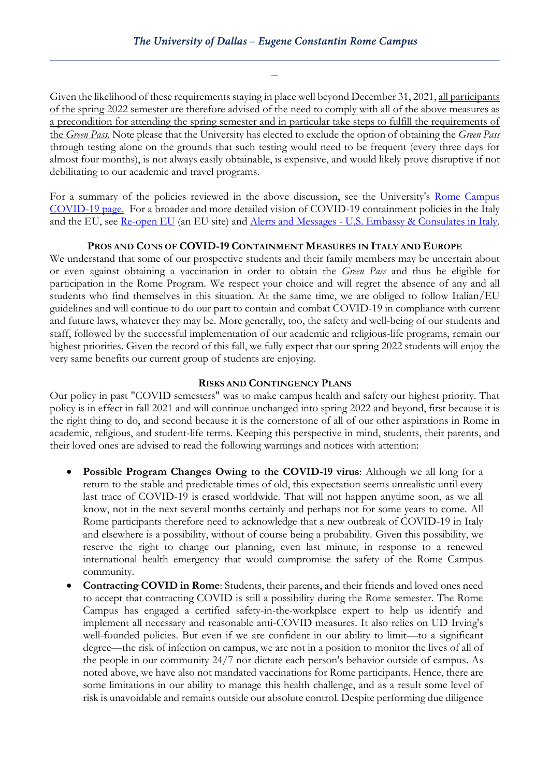Given the likelihood of these requirements staying in place well beyond December 31, 2021, all participants of the spring 2022 semester are therefore advised of the need to comply with all of the above measures as a precondition for attending the spring semester and in particular take steps to fulfill the requirements of the *Green Pass*. Note please that the University has elected to exclude the option of obtaining the *Green Pass* through testing alone on the grounds that such testing would need to be frequent (every three days for almost four months), is not always easily obtainable, is expensive, and would likely prove disruptive if not debilitating to our academic and travel programs.

For a summary of the policies reviewed in the above discussion, see the University's [Rome Campus](https://www.udallas.edu/coronavirus/rome-campus.php)  [COVID-19 page.](https://www.udallas.edu/coronavirus/rome-campus.php) For a broader and more detailed vision of COVID-19 containment policies in the Italy and the EU, see [Re-open EU](https://reopen.europa.eu/en) (an EU site) and Alerts and Messages - [U.S. Embassy & Consulates in Italy.](https://it.usembassy.gov/u-s-citizen-services/security-and-travel-information/)

#### **PROS AND CONS OF COVID-19 CONTAINMENT MEASURES IN ITALY AND EUROPE**

We understand that some of our prospective students and their family members may be uncertain about or even against obtaining a vaccination in order to obtain the *Green Pass* and thus be eligible for participation in the Rome Program. We respect your choice and will regret the absence of any and all students who find themselves in this situation. At the same time, we are obliged to follow Italian/EU guidelines and will continue to do our part to contain and combat COVID-19 in compliance with current and future laws, whatever they may be. More generally, too, the safety and well-being of our students and staff, followed by the successful implementation of our academic and religious-life programs, remain our highest priorities. Given the record of this fall, we fully expect that our spring 2022 students will enjoy the very same benefits our current group of students are enjoying.

### **RISKS AND CONTINGENCY PLANS**

Our policy in past "COVID semesters" was to make campus health and safety our highest priority. That policy is in effect in fall 2021 and will continue unchanged into spring 2022 and beyond, first because it is the right thing to do, and second because it is the cornerstone of all of our other aspirations in Rome in academic, religious, and student-life terms. Keeping this perspective in mind, students, their parents, and their loved ones are advised to read the following warnings and notices with attention:

- **Possible Program Changes Owing to the COVID-19 virus**: Although we all long for a return to the stable and predictable times of old, this expectation seems unrealistic until every last trace of COVID-19 is erased worldwide. That will not happen anytime soon, as we all know, not in the next several months certainly and perhaps not for some years to come. All Rome participants therefore need to acknowledge that a new outbreak of COVID-19 in Italy and elsewhere is a possibility, without of course being a probability. Given this possibility, we reserve the right to change our planning, even last minute, in response to a renewed international health emergency that would compromise the safety of the Rome Campus community.
- **Contracting COVID in Rome**: Students, their parents, and their friends and loved ones need to accept that contracting COVID is still a possibility during the Rome semester. The Rome Campus has engaged a certified safety-in-the-workplace expert to help us identify and implement all necessary and reasonable anti-COVID measures. It also relies on UD Irving's well-founded policies. But even if we are confident in our ability to limit—to a significant degree—the risk of infection on campus, we are not in a position to monitor the lives of all of the people in our community 24/7 nor dictate each person's behavior outside of campus. As noted above, we have also not mandated vaccinations for Rome participants. Hence, there are some limitations in our ability to manage this health challenge, and as a result some level of risk is unavoidable and remains outside our absolute control. Despite performing due diligence